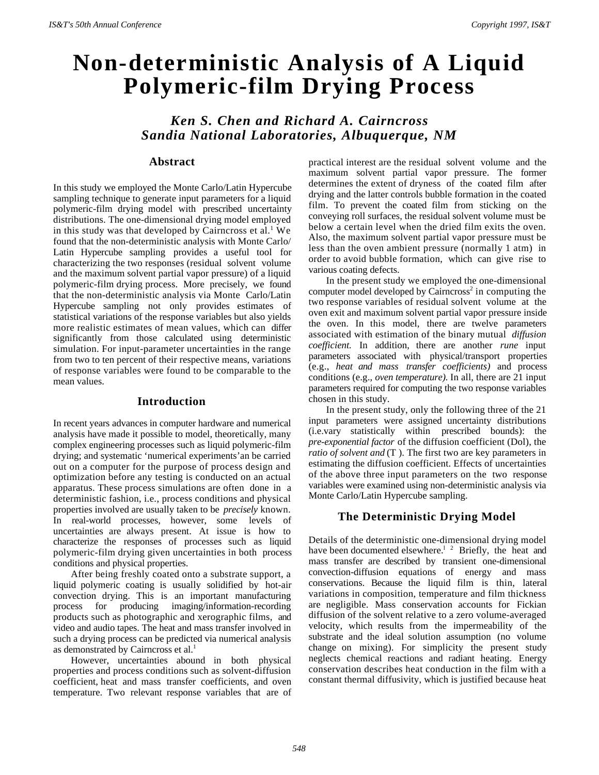# **Non-deterministic Analysis of A Liquid Polymeric-film Drying Process**

*Ken S. Chen and Richard A. Cairncross Sandia National Laboratories, Albuquerque, NM*

## **Abstract**

In this study we employed the Monte Carlo/Latin Hypercube sampling technique to generate input parameters for a liquid polymeric-film drying model with prescribed uncertainty distributions. The one-dimensional drying model employed in this study was that developed by Cairncross et al.<sup>1</sup> We found that the non-deterministic analysis with Monte Carlo/ Latin Hypercube sampling provides a useful tool for characterizing the two responses (residual solvent volume and the maximum solvent partial vapor pressure) of a liquid polymeric-film drying process. More precisely, we found that the non-deterministic analysis via Monte Carlo/Latin Hypercube sampling not only provides estimates of statistical variations of the response variables but also yields more realistic estimates of mean values, which can differ significantly from those calculated using deterministic simulation. For input-parameter uncertainties in the range from two to ten percent of their respective means, variations of response variables were found to be comparable to the mean values.

# **Introduction**

In recent years advances in computer hardware and numerical analysis have made it possible to model, theoretically, many complex engineering processes such as liquid polymeric-film drying; and systematic 'numerical experiments'an be carried out on a computer for the purpose of process design and optimization before any testing is conducted on an actual apparatus. These process simulations are often done in a deterministic fashion, i.e., process conditions and physical properties involved are usually taken to be *precisely* known. In real-world processes, however, some levels of uncertainties are always present. At issue is how to characterize the responses of processes such as liquid polymeric-film drying given uncertainties in both process conditions and physical properties.

After being freshly coated onto a substrate support, a liquid polymeric coating is usually solidified by hot-air convection drying. This is an important manufacturing process for producing imaging/information-recording products such as photographic and xerographic films, and video and audio tapes. The heat and mass transfer involved in such a drying process can be predicted via numerical analysis as demonstrated by Cairncross et al.<sup>1</sup>

However, uncertainties abound in both physical properties and process conditions such as solvent-diffusion coefficient, heat and mass transfer coefficients, and oven temperature. Two relevant response variables that are of practical interest are the residual solvent volume and the maximum solvent partial vapor pressure. The former determines the extent of dryness of the coated film after drying and the latter controls bubble formation in the coated film. To prevent the coated film from sticking on the conveying roll surfaces, the residual solvent volume must be below a certain level when the dried film exits the oven. Also, the maximum solvent partial vapor pressure must be less than the oven ambient pressure (normally 1 atm) in order to avoid bubble formation, which can give rise to various coating defects.

In the present study we employed the one-dimensional computer model developed by Cairncross<sup>2</sup> in computing the two response variables of residual solvent volume at the oven exit and maximum solvent partial vapor pressure inside the oven. In this model, there are twelve parameters associated with estimation of the binary mutual *diffusion coefficient.* In addition, there are another *rune* input parameters associated with physical/transport properties (e.g., *heat and mass transfer coefficients)* and process conditions (e.g., *oven temperature).* In all, there are 21 input parameters required for computing the two response variables chosen in this study.

In the present study, only the following three of the 21 input parameters were assigned uncertainty distributions (i.e.vary statistically within prescribed bounds): the *pre-exponential factor* of the diffusion coefficient (Dol), the *ratio of solvent and* (T ). The first two are key parameters in estimating the diffusion coefficient. Effects of uncertainties of the above three input parameters on the two response variables were examined using non-deterministic analysis via Monte Carlo/Latin Hypercube sampling.

# **The Deterministic Drying Model**

Details of the deterministic one-dimensional drying model have been documented elsewhere.<sup>1</sup> <sup>2</sup> Briefly, the heat and mass transfer are described by transient one-dimensional convection-diffusion equations of energy and mass conservations. Because the liquid film is thin, lateral variations in composition, temperature and film thickness are negligible. Mass conservation accounts for Fickian diffusion of the solvent relative to a zero volume-averaged velocity, which results from the impermeability of the substrate and the ideal solution assumption (no volume change on mixing). For simplicity the present study neglects chemical reactions and radiant heating. Energy conservation describes heat conduction in the film with a constant thermal diffusivity, which is justified because heat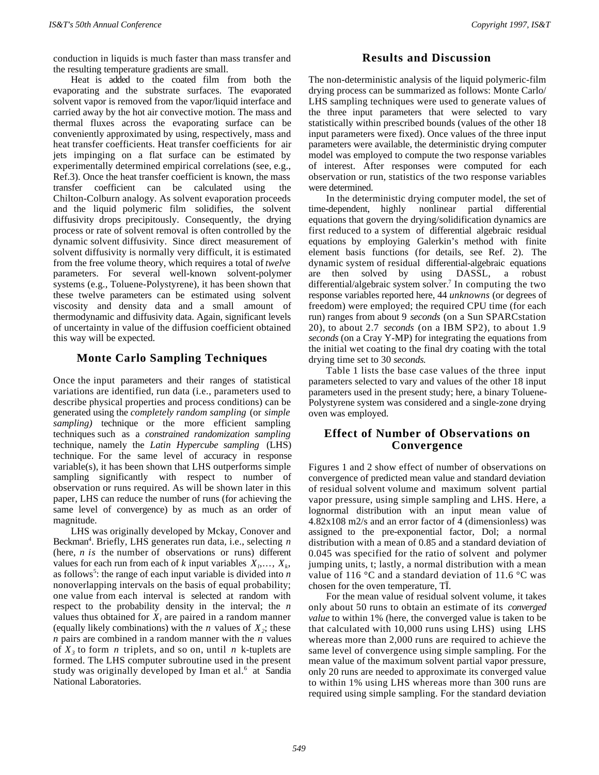conduction in liquids is much faster than mass transfer and the resulting temperature gradients are small.

Heat is added to the coated film from both the evaporating and the substrate surfaces. The evaporated solvent vapor is removed from the vapor/liquid interface and carried away by the hot air convective motion. The mass and thermal fluxes across the evaporating surface can be conveniently approximated by using, respectively, mass and heat transfer coefficients. Heat transfer coefficients for air jets impinging on a flat surface can be estimated by experimentally determined empirical correlations (see, e.g., Ref.3). Once the heat transfer coefficient is known, the mass transfer coefficient can be calculated using the Chilton-Colburn analogy. As solvent evaporation proceeds and the liquid polymeric film solidifies, the solvent diffusivity drops precipitously. Consequently, the drying process or rate of solvent removal is often controlled by the dynamic solvent diffusivity. Since direct measurement of solvent diffusivity is normally very difficult, it is estimated from the free volume theory, which requires a total of *twelve* parameters. For several well-known solvent-polymer systems (e.g., Toluene-Polystyrene), it has been shown that these twelve parameters can be estimated using solvent viscosity and density data and a small amount of thermodynamic and diffusivity data. Again, significant levels of uncertainty in value of the diffusion coefficient obtained this way will be expected.

# **Monte Carlo Sampling Techniques**

Once the input parameters and their ranges of statistical variations are identified, run data (i.e., parameters used to describe physical properties and process conditions) can be generated using the *completely random sampling* (or *simple sampling)* technique or the more efficient sampling techniques such as a *constrained randomization sampling* technique, namely the *Latin Hypercube sampling* (LHS) technique. For the same level of accuracy in response variable(s), it has been shown that LHS outperforms simple sampling significantly with respect to number of observation or runs required. As will be shown later in this paper, LHS can reduce the number of runs (for achieving the same level of convergence) by as much as an order of magnitude.

LHS was originally developed by Mckay, Conover and Beckman<sup>4</sup>. Briefly, LHS generates run data, i.e., selecting *n* (here, *n is* the number of observations or runs) different values for each run from each of *k* input variables  $X_i, \ldots, X_k$ , as follows<sup>5</sup> : the range of each input variable is divided into *n* nonoverlapping intervals on the basis of equal probability; one value from each interval is selected at random with respect to the probability density in the interval; the *n* values thus obtained for  $X_l$  are paired in a random manner (equally likely combinations) with the *n* values of  $X_2$ ; these *n* pairs are combined in a random manner with the *n* values of  $X_3$  to form *n* triplets, and so on, until *n* k-tuplets are formed. The LHS computer subroutine used in the present study was originally developed by Iman et al.<sup>6</sup> at Sandia National Laboratories.

# **Results and Discussion**

The non-deterministic analysis of the liquid polymeric-film drying process can be summarized as follows: Monte Carlo/ LHS sampling techniques were used to generate values of the three input parameters that were selected to vary statistically within prescribed bounds (values of the other 18 input parameters were fixed). Once values of the three input parameters were available, the deterministic drying computer model was employed to compute the two response variables of interest. After responses were computed for each observation or run, statistics of the two response variables were determined.

In the deterministic drying computer model, the set of time-dependent, highly nonlinear partial differential equations that govern the drying/solidification dynamics are first reduced to a system of differential algebraic residual equations by employing Galerkin's method with finite element basis functions (for details, see Ref. 2). The dynamic system of residual differential-algebraic equations are then solved by using DASSL, a robust differential/algebraic system solver.<sup>7</sup> In computing the two response variables reported here, 44 *unknowns* (or degrees of freedom) were employed; the required CPU time (for each run) ranges from about 9 *seconds* (on a Sun SPARCstation 20), to about 2.7 *seconds* (on a IBM SP2), to about 1.9 *seconds* (on a Cray Y-MP) for integrating the equations from the initial wet coating to the final dry coating with the total drying time set to 30 *seconds.*

Table 1 lists the base case values of the three input parameters selected to vary and values of the other 18 input parameters used in the present study; here, a binary Toluene-Polystyrene system was considered and a single-zone drying oven was employed.

# **Effect of Number of Observations on Convergence**

Figures 1 and 2 show effect of number of observations on convergence of predicted mean value and standard deviation of residual solvent volume and maximum solvent partial vapor pressure, using simple sampling and LHS. Here, a lognormal distribution with an input mean value of 4.82x108 m2/s and an error factor of 4 (dimensionless) was assigned to the pre-exponential factor, Dol; a normal distribution with a mean of 0.85 and a standard deviation of 0.045 was specified for the ratio of solvent and polymer jumping units, t; lastly, a normal distribution with a mean value of 116  $\degree$ C and a standard deviation of 11.6  $\degree$ C was chosen for the oven temperature, TÏ.

For the mean value of residual solvent volume, it takes only about 50 runs to obtain an estimate of its *converged value* to within 1% (here, the converged value is taken to be that calculated with 10,000 runs using LHS) using LHS whereas more than 2,000 runs are required to achieve the same level of convergence using simple sampling. For the mean value of the maximum solvent partial vapor pressure, only 20 runs are needed to approximate its converged value to within 1% using LHS whereas more than 300 runs are required using simple sampling. For the standard deviation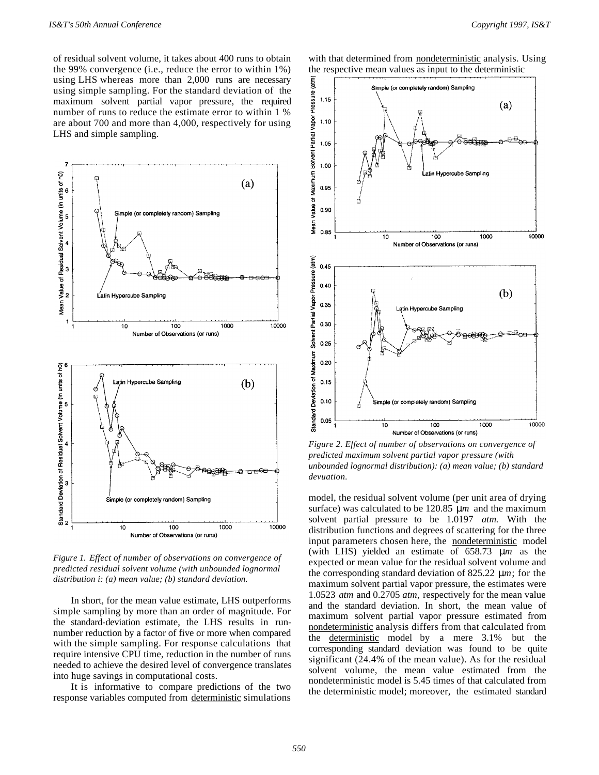of residual solvent volume, it takes about 400 runs to obtain the 99% convergence (i.e., reduce the error to within 1%) using LHS whereas more than 2,000 runs are necessary using simple sampling. For the standard deviation of the maximum solvent partial vapor pressure, the required number of runs to reduce the estimate error to within 1 % are about 700 and more than 4,000, respectively for using LHS and simple sampling.



*Figure 1. Effect of number of observations on convergence of predicted residual solvent volume (with unbounded lognormal distribution i: (a) mean value; (b) standard deviation.*

In short, for the mean value estimate, LHS outperforms simple sampling by more than an order of magnitude. For the standard-deviation estimate, the LHS results in runnumber reduction by a factor of five or more when compared with the simple sampling. For response calculations that require intensive CPU time, reduction in the number of runs needed to achieve the desired level of convergence translates into huge savings in computational costs.

It is informative to compare predictions of the two response variables computed from deterministic simulations with that determined from nondeterministic analysis. Using the respective mean values as input to the deterministic



*Figure 2. Effect of number of observations on convergence of predicted maximum solvent partial vapor pressure (with unbounded lognormal distribution): (a) mean value; (b) standard devuation.*

model, the residual solvent volume (per unit area of drying surface) was calculated to be 120.85 μ*m* and the maximum solvent partial pressure to be 1.0197 *atm.* With the distribution functions and degrees of scattering for the three input parameters chosen here, the nondeterministic model (with LHS) yielded an estimate of 658.73 μ*m* as the expected or mean value for the residual solvent volume and the corresponding standard deviation of 825.22 μ*m*; for the maximum solvent partial vapor pressure, the estimates were 1.0523 *atm* and 0.2705 *atm,* respectively for the mean value and the standard deviation. In short, the mean value of maximum solvent partial vapor pressure estimated from nondeterministic analysis differs from that calculated from the deterministic model by a mere 3.1% but the corresponding standard deviation was found to be quite significant (24.4% of the mean value). As for the residual solvent volume, the mean value estimated from the nondeterministic model is 5.45 times of that calculated from the deterministic model; moreover, the estimated standard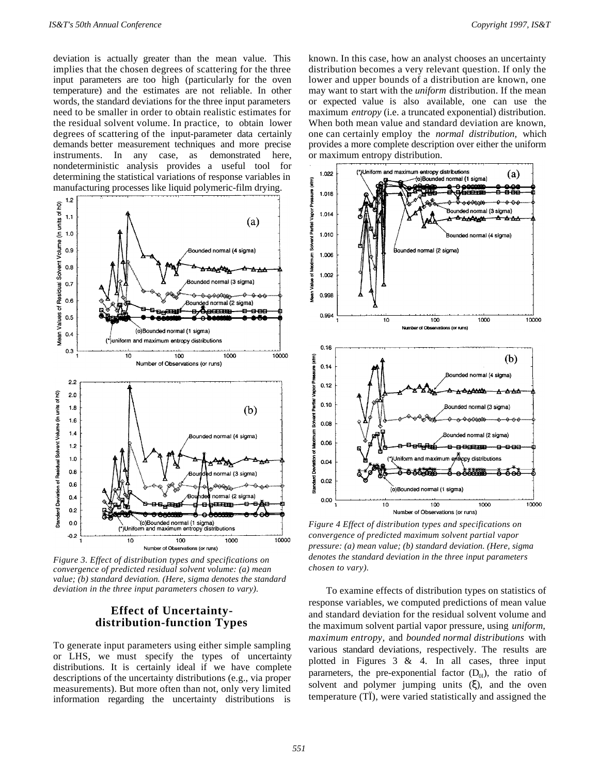deviation is actually greater than the mean value. This implies that the chosen degrees of scattering for the three input parameters are too high (particularly for the oven temperature) and the estimates are not reliable. In other words, the standard deviations for the three input parameters need to be smaller in order to obtain realistic estimates for the residual solvent volume. In practice, to obtain lower degrees of scattering of the input-parameter data certainly demands better measurement techniques and more precise instruments. In any case, as demonstrated here, nondeterministic analysis provides a useful tool for determining the statistical variations of response variables in manufacturing processes like liquid polymeric-film drying.



*Figure 3. Effect of distribution types and specifications on convergence of predicted residual solvent volume: (a) mean value; (b) standard deviation. (Here, sigma denotes the standard deviation in the three input parameters chosen to vary).*

#### **Effect of Uncertaintydistribution-function Types**

To generate input parameters using either simple sampling or LHS, we must specify the types of uncertainty distributions. It is certainly ideal if we have complete descriptions of the uncertainty distributions (e.g., via proper measurements). But more often than not, only very limited information regarding the uncertainty distributions is

known. In this case, how an analyst chooses an uncertainty distribution becomes a very relevant question. If only the lower and upper bounds of a distribution are known, one may want to start with the *uniform* distribution. If the mean or expected value is also available, one can use the maximum *entropy* (i.e. a truncated exponential) distribution. When both mean value and standard deviation are known, one can certainly employ the *normal distribution,* which provides a more complete description over either the uniform or maximum entropy distribution.



*Figure 4 Effect of distribution types and specifications on convergence of predicted maximum solvent partial vapor pressure: (a) mean value; (b) standard deviation. (Here, sigma denotes the standard deviation in the three input parameters chosen to vary).*

To examine effects of distribution types on statistics of response variables, we computed predictions of mean value and standard deviation for the residual solvent volume and the maximum solvent partial vapor pressure, using *uniform, maximum entropy,* and *bounded normal distributions* with various standard deviations, respectively. The results are plotted in Figures  $3 \& 4$ . In all cases, three input pararneters, the pre-exponential factor  $(D_{0l})$ , the ratio of solvent and polymer jumping units (ξ), and the oven temperature (TÏ), were varied statistically and assigned the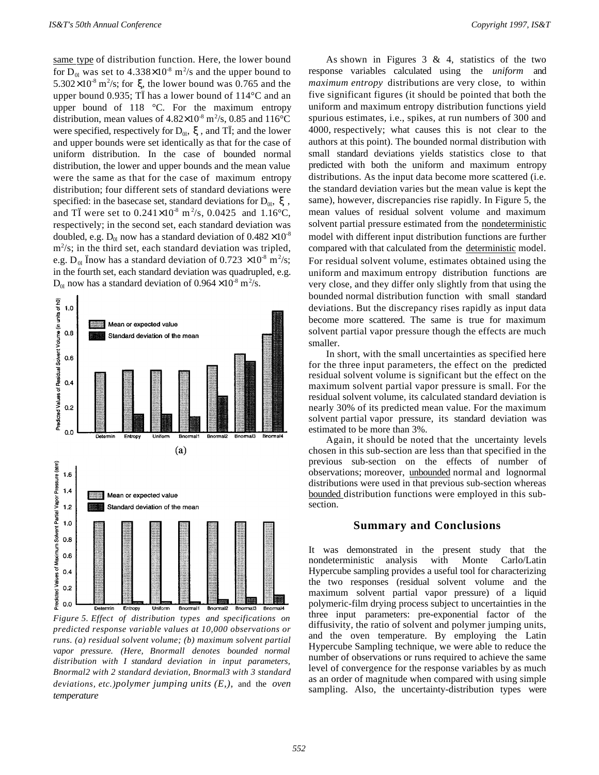same type of distribution function. Here, the lower bound for  $D_{0l}$  was set to 4.338×10<sup>-8</sup> m<sup>2</sup>/s and the upper bound to  $5.302 \times 10^{-8}$  m<sup>2</sup>/s; for  $\xi$ , the lower bound was 0.765 and the upper bound 0.935; TÏ has a lower bound of 114°C and an upper bound of 118 °C. For the maximum entropy distribution, mean values of  $4.82 \times 10^{-8}$  m<sup>2</sup>/s, 0.85 and 116<sup>o</sup>C were specified, respectively for  $D_{0l}$ , ξ, and TÏ; and the lower and upper bounds were set identically as that for the case of uniform distribution. In the case of bounded normal distribution, the lower and upper bounds and the mean value were the same as that for the case of maximum entropy distribution; four different sets of standard deviations were specified: in the basecase set, standard deviations for  $D_{0l}$ ,  $\xi$ , and T<sup> $\ddot{\text{I}}$ </sup> were set to 0.241×10<sup>-8</sup> m<sup>2</sup>/s, 0.0425 and 1.16<sup>o</sup>C, respectively; in the second set, each standard deviation was doubled, e.g.  $D_{0l}$  now has a standard deviation of  $0.482 \times 10^{-8}$ m<sup>2</sup>/s; in the third set, each standard deviation was tripled, e.g.  $D_{0l}$  Ïnow has a standard deviation of 0.723  $\times$ 10<sup>-8</sup> m<sup>2</sup>/s; in the fourth set, each standard deviation was quadrupled, e.g.  $D_{0l}$  now has a standard deviation of  $0.964 \times 10^{-8}$  m<sup>2</sup>/s.



*Figure 5. Effect of distribution types and specifications on predicted response variable values at 10,000 observations or runs. (a) residual solvent volume; (b) maximum solvent partial vapor pressure. (Here, Bnormall denotes bounded normal distribution with I standard deviation in input parameters, Bnormal2 with 2 standard deviation, Bnormal3 with 3 standard deviations, etc.)polymer jumping units (E,),* and the *oven temperature*

As shown in Figures  $3 \& 4$ , statistics of the two response variables calculated using the *uniform* and *maximum entropy* distributions are very close, to within five significant figures (it should be pointed that both the uniform and maximum entropy distribution functions yield spurious estimates, i.e., spikes, at run numbers of 300 and 4000, respectively; what causes this is not clear to the authors at this point). The bounded normal distribution with small standard deviations yields statistics close to that predicted with both the uniform and maximum entropy distributions. As the input data become more scattered (i.e. the standard deviation varies but the mean value is kept the same), however, discrepancies rise rapidly. In Figure 5, the mean values of residual solvent volume and maximum solvent partial pressure estimated from the nondeterministic model with different input distribution functions are further compared with that calculated from the deterministic model. For residual solvent volume, estimates obtained using the uniform and maximum entropy distribution functions are very close, and they differ only slightly from that using the bounded normal distribution function with small standard deviations. But the discrepancy rises rapidly as input data become more scattered. The same is true for maximum solvent partial vapor pressure though the effects are much smaller.

In short, with the small uncertainties as specified here for the three input parameters, the effect on the predicted residual solvent volume is significant but the effect on the maximum solvent partial vapor pressure is small. For the residual solvent volume, its calculated standard deviation is nearly 30% of its predicted mean value. For the maximum solvent partial vapor pressure, its standard deviation was estimated to be more than 3%.

Again, it should be noted that the uncertainty levels chosen in this sub-section are less than that specified in the previous sub-section on the effects of number of observations; moreover, unbounded normal and lognormal distributions were used in that previous sub-section whereas bounded distribution functions were employed in this subsection.

#### **Summary and Conclusions**

It was demonstrated in the present study that the nondeterministic analysis with Monte Carlo/Latin Hypercube sampling provides a useful tool for characterizing the two responses (residual solvent volume and the maximum solvent partial vapor pressure) of a liquid polymeric-film drying process subject to uncertainties in the three input parameters: pre-exponential factor of the diffusivity, the ratio of solvent and polymer jumping units, and the oven temperature. By employing the Latin Hypercube Sampling technique, we were able to reduce the number of observations or runs required to achieve the same level of convergence for the response variables by as much as an order of magnitude when compared with using simple sampling. Also, the uncertainty-distribution types were